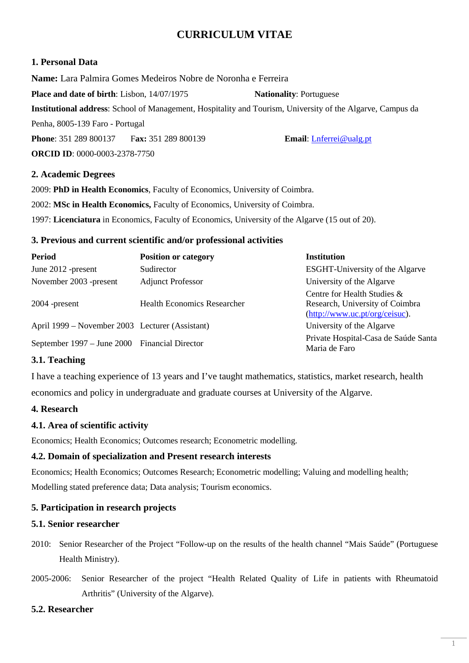# **CURRICULUM VITAE**

## **1. Personal Data**

**Name:** Lara Palmira Gomes Medeiros Nobre de Noronha e Ferreira **Place and date of birth**: Lisbon, 14/07/1975 **Nationality**: Portuguese **Institutional address**: School of Management, Hospitality and Tourism, University of the Algarve, Campus da Penha, 8005-139 Faro - Portugal **Phone**: 351 289 800137 F**ax:** 351 289 800139 **Email**: Lnferrei@ualg.pt **ORCID ID**: 0000-0003-2378-7750

# **2. Academic Degrees**

2009: **PhD in Health Economics**, Faculty of Economics, University of Coimbra.

2002: **MSc in Health Economics,** Faculty of Economics, University of Coimbra.

1997: **Licenciatura** in Economics, Faculty of Economics, University of the Algarve (15 out of 20).

### **3. Previous and current scientific and/or professional activities**

| <b>Period</b>                                   | <b>Position or category</b> | <b>Institution</b>                                                                               |
|-------------------------------------------------|-----------------------------|--------------------------------------------------------------------------------------------------|
| June 2012 -present                              | Sudirector                  | <b>ESGHT-University of the Algarve</b>                                                           |
| November 2003 -present                          | <b>Adjunct Professor</b>    | University of the Algarve                                                                        |
| $2004$ -present                                 | Health Economics Researcher | Centre for Health Studies &<br>Research, University of Coimbra<br>(http://www.uc.pt/org/ceisuc). |
| April 1999 – November 2003 Lecturer (Assistant) |                             | University of the Algarve                                                                        |
| September 1997 – June 2000 Financial Director   |                             | Private Hospital-Casa de Saúde Santa<br>Maria de Faro                                            |

# **3.1. Teaching**

I have a teaching experience of 13 years and I've taught mathematics, statistics, market research, health economics and policy in undergraduate and graduate courses at University of the Algarve.

# **4. Research**

# **4.1. Area of scientific activity**

Economics; Health Economics; Outcomes research; Econometric modelling.

### **4.2. Domain of specialization and Present research interests**

Economics; Health Economics; Outcomes Research; Econometric modelling; Valuing and modelling health; Modelling stated preference data; Data analysis; Tourism economics.

# **5. Participation in research projects**

### **5.1. Senior researcher**

- 2010: Senior Researcher of the Project "Follow-up on the results of the health channel "Mais Saúde" (Portuguese Health Ministry).
- 2005-2006: Senior Researcher of the project "Health Related Quality of Life in patients with Rheumatoid Arthritis" (University of the Algarve).

### **5.2. Researcher**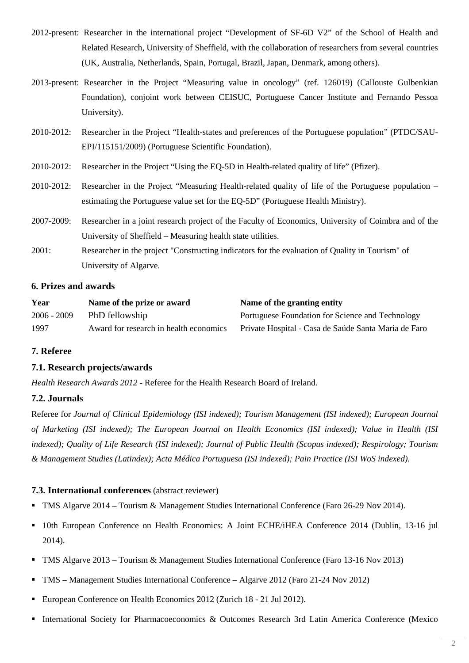- 2012-present: Researcher in the international project "Development of SF-6D V2" of the School of Health and Related Research, University of Sheffield, with the collaboration of researchers from several countries (UK, Australia, Netherlands, Spain, Portugal, Brazil, Japan, Denmark, among others).
- 2013-present: Researcher in the Project "Measuring value in oncology" (ref. 126019) (Callouste Gulbenkian Foundation), conjoint work between CEISUC, Portuguese Cancer Institute and Fernando Pessoa University).
- 2010-2012: Researcher in the Project "Health-states and preferences of the Portuguese population" (PTDC/SAU-EPI/115151/2009) (Portuguese Scientific Foundation).
- 2010-2012: Researcher in the Project "Using the EQ-5D in Health-related quality of life" (Pfizer).
- 2010-2012: Researcher in the Project "Measuring Health-related quality of life of the Portuguese population estimating the Portuguese value set for the EQ-5D" (Portuguese Health Ministry).
- 2007-2009: Researcher in a joint research project of the Faculty of Economics, University of Coimbra and of the University of Sheffield – Measuring health state utilities.
- 2001: Researcher in the project "Constructing indicators for the evaluation of Quality in Tourism" of University of Algarve.

### **6. Prizes and awards**

| Year          | Name of the prize or award             | Name of the granting entity                          |
|---------------|----------------------------------------|------------------------------------------------------|
| $2006 - 2009$ | PhD fellowship                         | Portuguese Foundation for Science and Technology     |
| 1997          | Award for research in health economics | Private Hospital - Casa de Saúde Santa Maria de Faro |

### **7. Referee**

### **7.1. Research projects/awards**

*Health Research Awards 2012* - Referee for the Health Research Board of Ireland.

### **7.2. Journals**

Referee for *Journal of Clinical Epidemiology (ISI indexed); Tourism Management (ISI indexed); European Journal of Marketing (ISI indexed); The European Journal on Health Economics (ISI indexed); Value in Health (ISI indexed); Quality of Life Research (ISI indexed); Journal of Public Health (Scopus indexed); Respirology; Tourism & Management Studies (Latindex); Acta Médica Portuguesa (ISI indexed); Pain Practice (ISI WoS indexed).* 

### **7.3. International conferences** (abstract reviewer)

- TMS Algarve 2014 Tourism & Management Studies International Conference (Faro 26-29 Nov 2014).
- 10th European Conference on Health Economics: A Joint ECHE/iHEA Conference 2014 (Dublin, 13-16 jul 2014).
- TMS Algarve 2013 Tourism & Management Studies International Conference (Faro 13-16 Nov 2013)
- TMS Management Studies International Conference Algarve 2012 (Faro 21-24 Nov 2012)
- European Conference on Health Economics 2012 (Zurich 18 21 Jul 2012).
- International Society for Pharmacoeconomics & Outcomes Research 3rd Latin America Conference (Mexico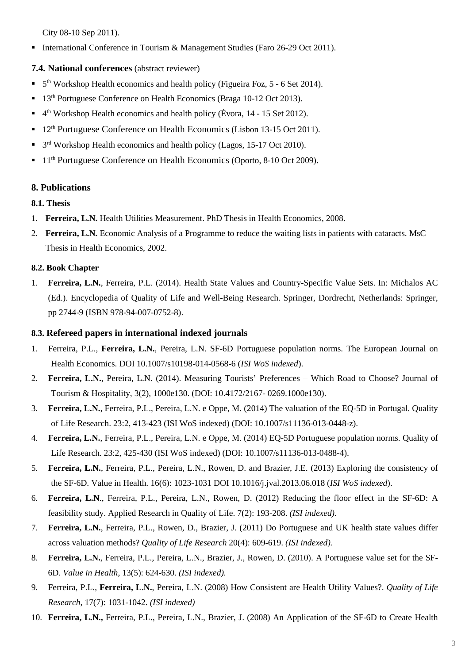City 08-10 Sep 2011).

International Conference in Tourism & Management Studies (Faro 26-29 Oct 2011).

# **7.4. National conferences** (abstract reviewer)

- <sup>5th</sup> Workshop Health economics and health policy (Figueira Foz, 5 6 Set 2014).
- 13<sup>th</sup> Portuguese Conference on Health Economics (Braga 10-12 Oct 2013).
- <sup>4th</sup> Workshop Health economics and health policy (Évora, 14 15 Set 2012).
- <sup>12th</sup> Portuguese Conference on Health Economics (Lisbon 13-15 Oct 2011).
- <sup>3rd</sup> Workshop Health economics and health policy (Lagos, 15-17 Oct 2010).
- <sup>•</sup> 11<sup>th</sup> Portuguese Conference on Health Economics (Oporto, 8-10 Oct 2009).

# **8. Publications**

### **8.1. Thesis**

- 1. **Ferreira, L.N.** Health Utilities Measurement. PhD Thesis in Health Economics, 2008.
- 2. **Ferreira, L.N.** Economic Analysis of a Programme to reduce the waiting lists in patients with cataracts. MsC Thesis in Health Economics, 2002.

# **8.2. Book Chapter**

1. **Ferreira, L.N.**, Ferreira, P.L. (2014). Health State Values and Country-Specific Value Sets. In: Michalos AC (Ed.). Encyclopedia of Quality of Life and Well-Being Research. Springer, Dordrecht, Netherlands: Springer, pp 2744-9 (ISBN 978-94-007-0752-8).

### **8.3. Refereed papers in international indexed journals**

- 1. Ferreira, P.L., **Ferreira, L.N.**, Pereira, L.N. SF-6D Portuguese population norms. The European Journal on Health Economics. DOI 10.1007/s10198-014-0568-6 (*ISI WoS indexed*).
- 2. **Ferreira, L.N.**, Pereira, L.N. (2014). Measuring Tourists' Preferences Which Road to Choose? Journal of Tourism & Hospitality, 3(2), 1000e130. (DOI: 10.4172/2167- 0269.1000e130).
- 3. **Ferreira, L.N.**, Ferreira, P.L., Pereira, L.N. e Oppe, M. (2014) The valuation of the EQ-5D in Portugal. Quality of Life Research. 23:2, 413-423 (ISI WoS indexed) (DOI: 10.1007/s11136-013-0448-z).
- 4. **Ferreira, L.N.**, Ferreira, P.L., Pereira, L.N. e Oppe, M. (2014) EQ-5D Portuguese population norms. Quality of Life Research. 23:2, 425-430 (ISI WoS indexed) (DOI: 10.1007/s11136-013-0488-4).
- 5. **Ferreira, L.N.**, Ferreira, P.L., Pereira, L.N., Rowen, D. and Brazier, J.E. (2013) Exploring the consistency of the SF-6D. Value in Health. 16(6): 1023-1031 DOI 10.1016/j.jval.2013.06.018 (*ISI WoS indexed*).
- 6. **Ferreira, L.N**., Ferreira, P.L., Pereira, L.N., Rowen, D. (2012) Reducing the floor effect in the SF-6D: A feasibility study. Applied Research in Quality of Life. 7(2): 193-208. *(ISI indexed).*
- 7. **Ferreira, L.N.**, Ferreira, P.L., Rowen, D., Brazier, J. (2011) Do Portuguese and UK health state values differ across valuation methods? *Quality of Life Research* 20(4): 609-619. *(ISI indexed).*
- 8. **Ferreira, L.N.**, Ferreira, P.L., Pereira, L.N., Brazier, J., Rowen, D. (2010). A Portuguese value set for the SF-6D. *Value in Health*, 13(5): 624-630. *(ISI indexed).*
- 9. Ferreira, P.L., **Ferreira, L.N.**, Pereira, L.N. (2008) How Consistent are Health Utility Values?. *Quality of Life Research*, 17(7): 1031-1042. *(ISI indexed)*
- 10. **Ferreira, L.N.,** Ferreira, P.L., Pereira, L.N., Brazier, J. (2008) An Application of the SF-6D to Create Health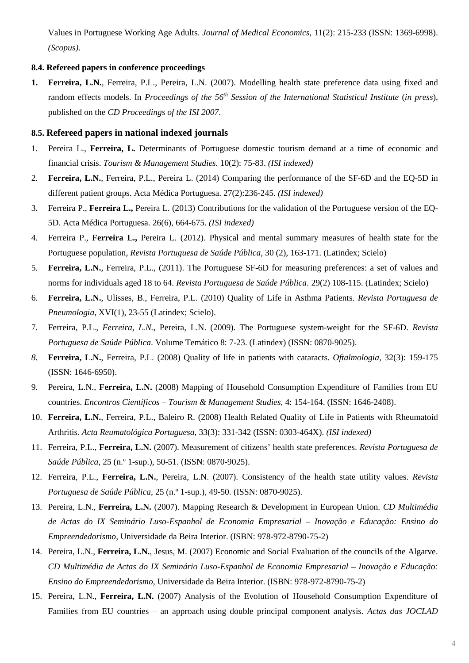Values in Portuguese Working Age Adults. *Journal of Medical Economics*, 11(2): 215-233 (ISSN: 1369-6998). *(Scopus)*.

#### **8.4. Refereed papers in conference proceedings**

**1. Ferreira, L.N.**, Ferreira, P.L., Pereira, L.N. (2007). Modelling health state preference data using fixed and random effects models. In *Proceedings of the 56th Session of the International Statistical Institute* (*in press*), published on the *CD Proceedings of the ISI 2007*.

#### **8.5. Refereed papers in national indexed journals**

- 1. Pereira L., **Ferreira, L.** Determinants of Portuguese domestic tourism demand at a time of economic and financial crisis. *Tourism & Management Studies.* 10(2): 75-83. *(ISI indexed)*
- 2. **Ferreira, L.N.**, Ferreira, P.L., Pereira L. (2014) Comparing the performance of the SF-6D and the EQ-5D in different patient groups. Acta Médica Portuguesa. 27(2):236-245. *(ISI indexed)*
- 3. Ferreira P., **Ferreira L.,** Pereira L. (2013) Contributions for the validation of the Portuguese version of the EQ-5D. Acta Médica Portuguesa. 26(6), 664-675. *(ISI indexed)*
- 4. Ferreira P., **Ferreira L.,** Pereira L. (2012). Physical and mental summary measures of health state for the Portuguese population, *Revista Portuguesa de Saúde Pública*, 30 (2), 163-171. (Latindex; Scielo)
- 5. **Ferreira, L.N.**, Ferreira, P.L., (2011). The Portuguese SF-6D for measuring preferences: a set of values and norms for individuals aged 18 to 64. *Revista Portuguesa de Saúde Pública*. 29(2) 108-115. (Latindex; Scielo)
- 6. **Ferreira, L.N.**, Ulisses, B., Ferreira, P.L. (2010) Quality of Life in Asthma Patients. *Revista Portuguesa de Pneumologia*, XVI(1), 23-55 (Latindex; Scielo).
- 7. Ferreira, P.L., *Ferreira, L.N.*, Pereira, L.N. (2009). The Portuguese system-weight for the SF-6D. *Revista Portuguesa de Saúde Pública*. Volume Temático 8: 7-23. (Latindex) (ISSN: 0870-9025).
- *8.* **Ferreira, L.N.**, Ferreira, P.L. (2008) Quality of life in patients with cataracts. *Oftalmologia,* 32(3): 159-175 (ISSN: 1646-6950).
- 9. Pereira, L.N., **Ferreira, L.N.** (2008) Mapping of Household Consumption Expenditure of Families from EU countries. *Encontros Científicos* – *Tourism & Management Studies*, 4: 154-164. (ISSN: 1646-2408).
- 10. **Ferreira, L.N.**, Ferreira, P.L., Baleiro R. (2008) Health Related Quality of Life in Patients with Rheumatoid Arthritis. *Acta Reumatológica Portuguesa*, 33(3): 331-342 (ISSN: 0303-464X). *(ISI indexed)*
- 11. Ferreira, P.L., **Ferreira, L.N.** (2007). Measurement of citizens' health state preferences. *Revista Portuguesa de Saúde Pública*, 25 (n.º 1-sup.), 50-51. (ISSN: 0870-9025).
- 12. Ferreira, P.L., **Ferreira, L.N.**, Pereira, L.N. (2007). Consistency of the health state utility values. *Revista Portuguesa de Saúde Pública*, 25 (n.º 1-sup.), 49-50. (ISSN: 0870-9025).
- 13. Pereira, L.N., **Ferreira, L.N.** (2007). Mapping Research & Development in European Union. *CD Multimédia de Actas do IX Seminário Luso-Espanhol de Economia Empresarial – Inovação e Educação: Ensino do Empreendedorismo*, Universidade da Beira Interior. (ISBN: 978-972-8790-75-2)
- 14. Pereira, L.N., **Ferreira, L.N.**, Jesus, M. (2007) Economic and Social Evaluation of the councils of the Algarve. *CD Multimédia de Actas do IX Seminário Luso-Espanhol de Economia Empresarial – Inovação e Educação: Ensino do Empreendedorismo*, Universidade da Beira Interior. (ISBN: 978-972-8790-75-2)
- 15. Pereira, L.N., **Ferreira, L.N.** (2007) Analysis of the Evolution of Household Consumption Expenditure of Families from EU countries – an approach using double principal component analysis. *Actas das JOCLAD*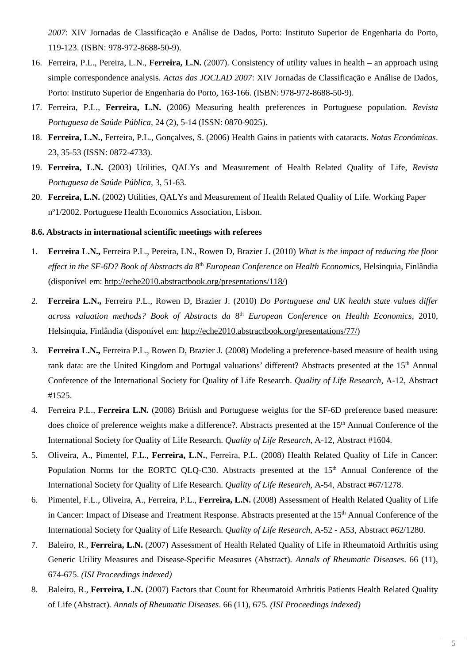*2007*: XIV Jornadas de Classificação e Análise de Dados, Porto: Instituto Superior de Engenharia do Porto, 119-123. (ISBN: 978-972-8688-50-9).

- 16. Ferreira, P.L., Pereira, L.N., **Ferreira, L.N.** (2007). Consistency of utility values in health an approach using simple correspondence analysis. *Actas das JOCLAD 2007*: XIV Jornadas de Classificação e Análise de Dados, Porto: Instituto Superior de Engenharia do Porto, 163-166. (ISBN: 978-972-8688-50-9).
- 17. Ferreira, P.L., **Ferreira, L.N.** (2006) Measuring health preferences in Portuguese population. *Revista Portuguesa de Saúde Pública*, 24 (2), 5-14 (ISSN: 0870-9025).
- 18. **Ferreira, L.N.**, Ferreira, P.L., Gonçalves, S. (2006) Health Gains in patients with cataracts. *Notas Económicas*. 23, 35-53 (ISSN: 0872-4733).
- 19. **Ferreira, L.N.** (2003) Utilities, QALYs and Measurement of Health Related Quality of Life, *Revista Portuguesa de Saúde Pública*, 3, 51-63.
- 20. **Ferreira, L.N.** (2002) Utilities, QALYs and Measurement of Health Related Quality of Life. Working Paper nº1/2002. Portuguese Health Economics Association, Lisbon.

#### **8.6. Abstracts in international scientific meetings with referees**

- 1. **Ferreira L.N.,** Ferreira P.L., Pereira, LN., Rowen D, Brazier J. (2010) *What is the impact of reducing the floor effect in the SF-6D? Book of Abstracts da* 8th *European Conference on Health Economics*, Helsinquia, Finlândia (disponível em: http://eche2010.abstractbook.org/presentations/118/)
- 2. **Ferreira L.N.,** Ferreira P.L., Rowen D, Brazier J. (2010) *Do Portuguese and UK health state values differ across valuation methods? Book of Abstracts da* 8th *European Conference on Health Economics*, 2010, Helsinquia, Finlândia (disponível em: http://eche2010.abstractbook.org/presentations/77/)
- 3. **Ferreira L.N.,** Ferreira P.L., Rowen D, Brazier J. (2008) Modeling a preference-based measure of health using rank data: are the United Kingdom and Portugal valuations' different? Abstracts presented at the 15<sup>th</sup> Annual Conference of the International Society for Quality of Life Research. *Quality of Life Research*, A-12, Abstract #1525.
- 4. Ferreira P.L., **Ferreira L.N***.* (2008) British and Portuguese weights for the SF-6D preference based measure: does choice of preference weights make a difference?. Abstracts presented at the 15<sup>th</sup> Annual Conference of the International Society for Quality of Life Research. *Quality of Life Research*, A-12, Abstract #1604.
- 5. Oliveira, A., Pimentel, F.L., **Ferreira, L.N.**, Ferreira, P.L. (2008) Health Related Quality of Life in Cancer: Population Norms for the EORTC OLO-C30. Abstracts presented at the 15<sup>th</sup> Annual Conference of the International Society for Quality of Life Research. *Quality of Life Research*, A-54, Abstract #67/1278.
- 6. Pimentel, F.L., Oliveira, A., Ferreira, P.L., **Ferreira, L.N.** (2008) Assessment of Health Related Quality of Life in Cancer: Impact of Disease and Treatment Response. Abstracts presented at the 15th Annual Conference of the International Society for Quality of Life Research. *Quality of Life Research*, A-52 - A53, Abstract #62/1280.
- 7. Baleiro, R., **Ferreira, L.N.** (2007) Assessment of Health Related Quality of Life in Rheumatoid Arthritis using Generic Utility Measures and Disease-Specific Measures (Abstract)*. Annals of Rheumatic Diseases*. 66 (11), 674-675. *(ISI Proceedings indexed)*
- 8. Baleiro, R., **Ferreira, L.N.** (2007) Factors that Count for Rheumatoid Arthritis Patients Health Related Quality of Life (Abstract)*. Annals of Rheumatic Diseases*. 66 (11), 675. *(ISI Proceedings indexed)*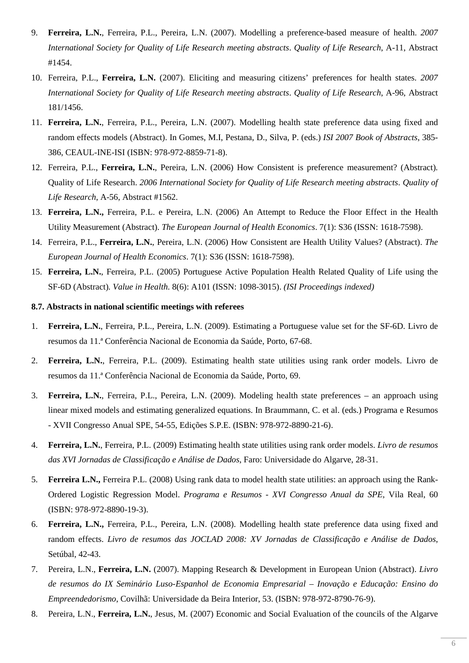- 9. **Ferreira, L.N.**, Ferreira, P.L., Pereira, L.N. (2007). Modelling a preference-based measure of health. *2007 International Society for Quality of Life Research meeting abstracts*. *Quality of Life Research*, A-11, Abstract #1454.
- 10. Ferreira, P.L., **Ferreira, L.N.** (2007). Eliciting and measuring citizens' preferences for health states. *2007 International Society for Quality of Life Research meeting abstracts*. *Quality of Life Research*, A-96, Abstract 181/1456.
- 11. **Ferreira, L.N.**, Ferreira, P.L., Pereira, L.N. (2007). Modelling health state preference data using fixed and random effects models (Abstract). In Gomes, M.I, Pestana, D., Silva, P. (eds.) *ISI 2007 Book of Abstracts*, 385- 386, CEAUL-INE-ISI (ISBN: 978-972-8859-71-8).
- 12. Ferreira, P.L., **Ferreira, L.N.**, Pereira, L.N. (2006) How Consistent is preference measurement? (Abstract)*.* Quality of Life Research. *2006 International Society for Quality of Life Research meeting abstracts*. *Quality of Life Research*, A-56, Abstract #1562.
- 13. **Ferreira, L.N.,** Ferreira, P.L. e Pereira, L.N. (2006) An Attempt to Reduce the Floor Effect in the Health Utility Measurement (Abstract). *The European Journal of Health Economics*. 7(1): S36 (ISSN: 1618-7598).
- 14. Ferreira, P.L., **Ferreira, L.N.**, Pereira, L.N. (2006) How Consistent are Health Utility Values? (Abstract). *The European Journal of Health Economics*. 7(1): S36 (ISSN: 1618-7598).
- 15. **Ferreira, L.N.**, Ferreira, P.L. (2005) Portuguese Active Population Health Related Quality of Life using the SF-6D (Abstract)*. Value in Health*. 8(6): A101 (ISSN: 1098-3015). *(ISI Proceedings indexed)*

#### **8.7. Abstracts in national scientific meetings with referees**

- 1. **Ferreira, L.N.**, Ferreira, P.L., Pereira, L.N. (2009). Estimating a Portuguese value set for the SF-6D. Livro de resumos da 11.ª Conferência Nacional de Economia da Saúde, Porto, 67-68.
- 2. **Ferreira, L.N.**, Ferreira, P.L. (2009). Estimating health state utilities using rank order models. Livro de resumos da 11.ª Conferência Nacional de Economia da Saúde, Porto, 69.
- 3. **Ferreira, L.N.**, Ferreira, P.L., Pereira, L.N. (2009). Modeling health state preferences an approach using linear mixed models and estimating generalized equations. In Braummann, C. et al. (eds.) Programa e Resumos - XVII Congresso Anual SPE, 54-55, Edições S.P.E. (ISBN: 978-972-8890-21-6).
- 4. **Ferreira, L.N.**, Ferreira, P.L. (2009) Estimating health state utilities using rank order models. *Livro de resumos das XVI Jornadas de Classificação e Análise de Dados*, Faro: Universidade do Algarve, 28-31.
- 5. **Ferreira L.N.,** Ferreira P.L. (2008) Using rank data to model health state utilities: an approach using the Rank-Ordered Logistic Regression Model. *Programa e Resumos - XVI Congresso Anual da SPE*, Vila Real, 60 (ISBN: 978-972-8890-19-3).
- 6. **Ferreira, L.N.,** Ferreira, P.L., Pereira, L.N. (2008). Modelling health state preference data using fixed and random effects. *Livro de resumos das JOCLAD 2008: XV Jornadas de Classificação e Análise de Dados*, Setúbal, 42-43.
- 7. Pereira, L.N., **Ferreira, L.N.** (2007). Mapping Research & Development in European Union (Abstract). *Livro de resumos do IX Seminário Luso-Espanhol de Economia Empresarial – Inovação e Educação: Ensino do Empreendedorismo*, Covilhã: Universidade da Beira Interior, 53. (ISBN: 978-972-8790-76-9).
- 8. Pereira, L.N., **Ferreira, L.N.**, Jesus, M. (2007) Economic and Social Evaluation of the councils of the Algarve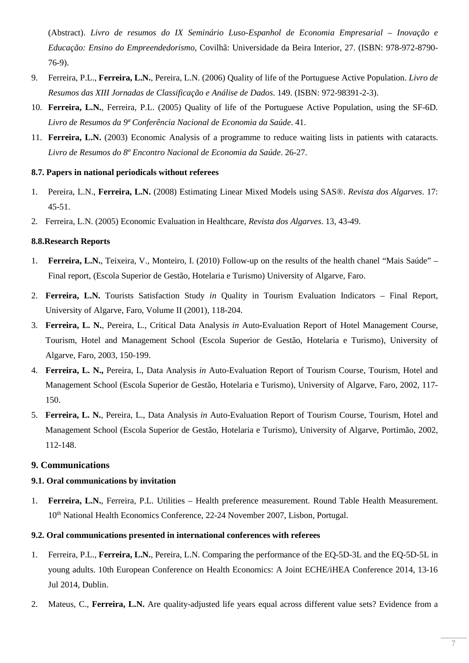(Abstract). *Livro de resumos do IX Seminário Luso-Espanhol de Economia Empresarial – Inovação e Educação: Ensino do Empreendedorismo*, Covilhã: Universidade da Beira Interior, 27. (ISBN: 978-972-8790- 76-9).

- 9. Ferreira, P.L., **Ferreira, L.N.**, Pereira, L.N. (2006) Quality of life of the Portuguese Active Population. *Livro de Resumos das XIII Jornadas de Classificação e Análise de Dados*. 149. (ISBN: 972-98391-2-3).
- 10. **Ferreira, L.N.**, Ferreira, P.L. (2005) Quality of life of the Portuguese Active Population, using the SF-6D. *Livro de Resumos da 9ª Conferência Nacional de Economia da Saúde*. 41.
- 11. **Ferreira, L.N.** (2003) Economic Analysis of a programme to reduce waiting lists in patients with cataracts. *Livro de Resumos do 8º Encontro Nacional de Economia da Saúde*. 26-27.

#### **8.7. Papers in national periodicals without referees**

- 1. Pereira, L.N., **Ferreira, L.N.** (2008) Estimating Linear Mixed Models using SAS®. *Revista dos Algarves*. 17: 45-51.
- 2. Ferreira, L.N. (2005) Economic Evaluation in Healthcare, *Revista dos Algarves*. 13, 43-49.

#### **8.8.Research Reports**

- 1. **Ferreira, L.N.**, Teixeira, V., Monteiro, I. (2010) Follow-up on the results of the health chanel "Mais Saúde" Final report, (Escola Superior de Gestão, Hotelaria e Turismo) University of Algarve, Faro.
- 2. **Ferreira, L.N.** Tourists Satisfaction Study *in* Quality in Tourism Evaluation Indicators Final Report, University of Algarve, Faro, Volume II (2001), 118-204.
- 3. **Ferreira, L. N.**, Pereira, L., Critical Data Analysis *in* Auto-Evaluation Report of Hotel Management Course, Tourism, Hotel and Management School (Escola Superior de Gestão, Hotelaria e Turismo), University of Algarve, Faro, 2003, 150-199.
- 4. **Ferreira, L. N.,** Pereira, L, Data Analysis *in* Auto-Evaluation Report of Tourism Course, Tourism, Hotel and Management School (Escola Superior de Gestão, Hotelaria e Turismo), University of Algarve, Faro, 2002, 117- 150.
- 5. **Ferreira, L. N.**, Pereira, L., Data Analysis *in* Auto-Evaluation Report of Tourism Course, Tourism, Hotel and Management School (Escola Superior de Gestão, Hotelaria e Turismo), University of Algarve, Portimão, 2002, 112-148.

### **9. Communications**

### **9.1. Oral communications by invitation**

1. **Ferreira, L.N.**, Ferreira, P.L. Utilities – Health preference measurement. Round Table Health Measurement. 10<sup>th</sup> National Health Economics Conference, 22-24 November 2007, Lisbon, Portugal.

### **9.2. Oral communications presented in international conferences with referees**

- 1. Ferreira, P.L., **Ferreira, L.N.**, Pereira, L.N. Comparing the performance of the EQ-5D-3L and the EQ-5D-5L in young adults. 10th European Conference on Health Economics: A Joint ECHE/iHEA Conference 2014, 13-16 Jul 2014, Dublin.
- 2. Mateus, C., **Ferreira, L.N.** Are quality-adjusted life years equal across different value sets? Evidence from a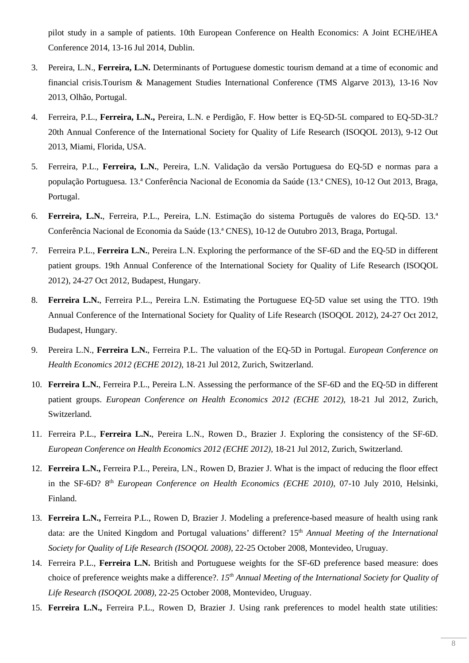pilot study in a sample of patients. 10th European Conference on Health Economics: A Joint ECHE/iHEA Conference 2014, 13-16 Jul 2014, Dublin.

- 3. Pereira, L.N., **Ferreira, L.N.** Determinants of Portuguese domestic tourism demand at a time of economic and financial crisis.Tourism & Management Studies International Conference (TMS Algarve 2013), 13-16 Nov 2013, Olhão, Portugal.
- 4. Ferreira, P.L., **Ferreira, L.N.,** Pereira, L.N. e Perdigão, F. How better is EQ-5D-5L compared to EQ-5D-3L? 20th Annual Conference of the International Society for Quality of Life Research (ISOQOL 2013), 9-12 Out 2013, Miami, Florida, USA.
- 5. Ferreira, P.L., **Ferreira, L.N.**, Pereira, L.N. Validação da versão Portuguesa do EQ-5D e normas para a população Portuguesa. 13.ª Conferência Nacional de Economia da Saúde (13.ª CNES), 10-12 Out 2013, Braga, Portugal.
- 6. **Ferreira, L.N.**, Ferreira, P.L., Pereira, L.N. Estimação do sistema Português de valores do EQ-5D. 13.ª Conferência Nacional de Economia da Saúde (13.ª CNES), 10-12 de Outubro 2013, Braga, Portugal.
- 7. Ferreira P.L., **Ferreira L.N.**, Pereira L.N. Exploring the performance of the SF-6D and the EQ-5D in different patient groups. 19th Annual Conference of the International Society for Quality of Life Research (ISOQOL 2012), 24-27 Oct 2012, Budapest, Hungary.
- 8. **Ferreira L.N.**, Ferreira P.L., Pereira L.N. Estimating the Portuguese EQ-5D value set using the TTO. 19th Annual Conference of the International Society for Quality of Life Research (ISOQOL 2012), 24-27 Oct 2012, Budapest, Hungary.
- 9. Pereira L.N., **Ferreira L.N.**, Ferreira P.L. The valuation of the EQ-5D in Portugal. *European Conference on Health Economics 2012 (ECHE 2012)*, 18-21 Jul 2012, Zurich, Switzerland.
- 10. **Ferreira L.N.**, Ferreira P.L., Pereira L.N. Assessing the performance of the SF-6D and the EQ-5D in different patient groups. *European Conference on Health Economics 2012 (ECHE 2012)*, 18-21 Jul 2012, Zurich, Switzerland.
- 11. Ferreira P.L., **Ferreira L.N.**, Pereira L.N., Rowen D., Brazier J. Exploring the consistency of the SF-6D. *European Conference on Health Economics 2012 (ECHE 2012)*, 18-21 Jul 2012, Zurich, Switzerland.
- 12. **Ferreira L.N.,** Ferreira P.L., Pereira, LN., Rowen D, Brazier J. What is the impact of reducing the floor effect in the SF-6D? 8<sup>th</sup> *European Conference on Health Economics (ECHE 2010)*, 07-10 July 2010, Helsinki, Finland.
- 13. **Ferreira L.N.,** Ferreira P.L., Rowen D, Brazier J. Modeling a preference-based measure of health using rank data: are the United Kingdom and Portugal valuations' different? 15<sup>th</sup> *Annual Meeting of the International Society for Quality of Life Research (ISOQOL 2008)*, 22-25 October 2008, Montevideo, Uruguay.
- 14. Ferreira P.L., **Ferreira L.N.** British and Portuguese weights for the SF-6D preference based measure: does choice of preference weights make a difference?. *15th Annual Meeting of the International Society for Quality of Life Research (ISOQOL 2008)*, 22-25 October 2008, Montevideo, Uruguay.
- 15. **Ferreira L.N.,** Ferreira P.L., Rowen D, Brazier J. Using rank preferences to model health state utilities: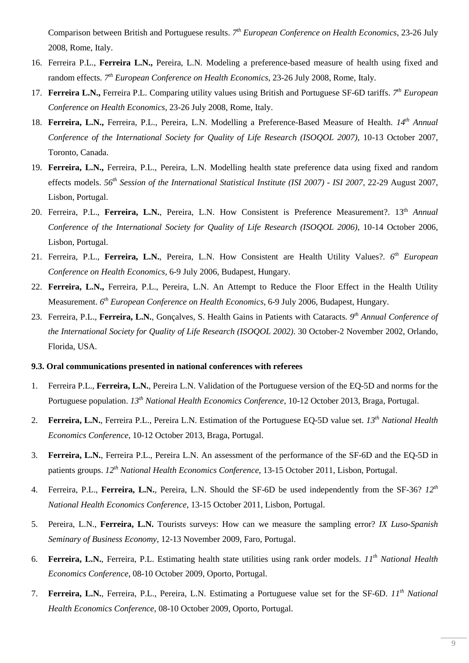Comparison between British and Portuguese results. 7<sup>th</sup> European Conference on Health Economics, 23-26 July 2008, Rome, Italy.

- 16. Ferreira P.L., **Ferreira L.N.,** Pereira, L.N. Modeling a preference-based measure of health using fixed and random effects. <sup>7th</sup> European Conference on Health Economics, 23-26 July 2008, Rome, Italy.
- 17. **Ferreira L.N.,** Ferreira P.L. Comparing utility values using British and Portuguese SF-6D tariffs. *7 th European Conference on Health Economics*, 23-26 July 2008, Rome, Italy.
- 18. **Ferreira, L.N.,** Ferreira, P.L., Pereira, L.N. Modelling a Preference-Based Measure of Health. *14th Annual Conference of the International Society for Quality of Life Research (ISOQOL 2007)*, 10-13 October 2007, Toronto, Canada.
- 19. **Ferreira, L.N.,** Ferreira, P.L., Pereira, L.N. Modelling health state preference data using fixed and random effects models. *56th Session of the International Statistical Institute (ISI 2007) - ISI 2007*, 22-29 August 2007, Lisbon, Portugal.
- 20. Ferreira, P.L., **Ferreira, L.N.**, Pereira, L.N. How Consistent is Preference Measurement?. 13th *Annual Conference of the International Society for Quality of Life Research (ISOQOL 2006)*, 10-14 October 2006, Lisbon, Portugal.
- 21. Ferreira, P.L., **Ferreira, L.N.**, Pereira, L.N. How Consistent are Health Utility Values?. *6 th European Conference on Health Economics*, 6-9 July 2006, Budapest, Hungary.
- 22. **Ferreira, L.N.,** Ferreira, P.L., Pereira, L.N. An Attempt to Reduce the Floor Effect in the Health Utility Measurement. *6 th European Conference on Health Economics*, 6-9 July 2006, Budapest, Hungary.
- 23. Ferreira, P.L., **Ferreira, L.N.**, Gonçalves, S. Health Gains in Patients with Cataracts*. 9th Annual Conference of the International Society for Quality of Life Research (ISOQOL 2002)*. 30 October-2 November 2002, Orlando, Florida, USA.

#### **9.3. Oral communications presented in national conferences with referees**

- 1. Ferreira P.L., **Ferreira, L.N.**, Pereira L.N. Validation of the Portuguese version of the EQ-5D and norms for the Portuguese population. *13th National Health Economics Conference*, 10-12 October 2013, Braga, Portugal.
- 2. **Ferreira, L.N.**, Ferreira P.L., Pereira L.N. Estimation of the Portuguese EQ-5D value set. *13th National Health Economics Conference*, 10-12 October 2013, Braga, Portugal.
- 3. **Ferreira, L.N.**, Ferreira P.L., Pereira L.N. An assessment of the performance of the SF-6D and the EQ-5D in patients groups. *12th National Health Economics Conference*, 13-15 October 2011, Lisbon, Portugal.
- 4. Ferreira, P.L., **Ferreira, L.N.**, Pereira, L.N. Should the SF-6D be used independently from the SF-36? *12th National Health Economics Conference*, 13-15 October 2011, Lisbon, Portugal.
- 5. Pereira, L.N., **Ferreira, L.N.** Tourists surveys: How can we measure the sampling error? *IX Luso-Spanish Seminary of Business Economy*, 12-13 November 2009, Faro, Portugal.
- 6. **Ferreira, L.N.**, Ferreira, P.L. Estimating health state utilities using rank order models. *11th National Health Economics Conference*, 08-10 October 2009, Oporto, Portugal.
- 7. **Ferreira, L.N.**, Ferreira, P.L., Pereira, L.N. Estimating a Portuguese value set for the SF-6D. *11th National Health Economics Conference*, 08-10 October 2009, Oporto, Portugal.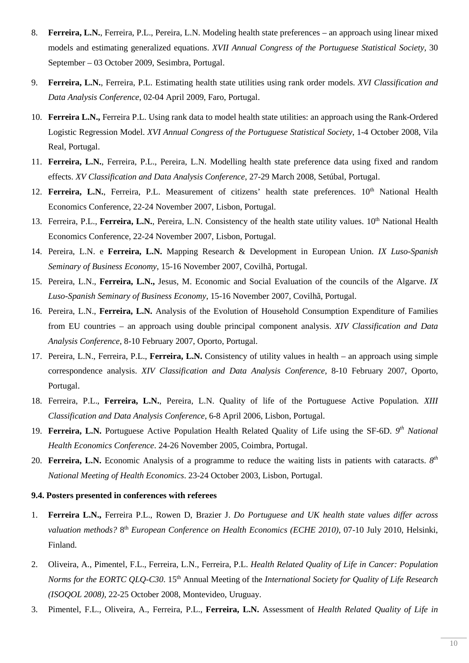- 8. **Ferreira, L.N.**, Ferreira, P.L., Pereira, L.N. Modeling health state preferences an approach using linear mixed models and estimating generalized equations. *XVII Annual Congress of the Portuguese Statistical Society*, 30 September – 03 October 2009, Sesimbra, Portugal.
- 9. **Ferreira, L.N.**, Ferreira, P.L. Estimating health state utilities using rank order models. *XVI Classification and Data Analysis Conference*, 02-04 April 2009, Faro, Portugal.
- 10. **Ferreira L.N.,** Ferreira P.L. Using rank data to model health state utilities: an approach using the Rank-Ordered Logistic Regression Model. *XVI Annual Congress of the Portuguese Statistical Society*, 1-4 October 2008, Vila Real, Portugal.
- 11. **Ferreira, L.N.**, Ferreira, P.L., Pereira, L.N. Modelling health state preference data using fixed and random effects. *XV Classification and Data Analysis Conference*, 27-29 March 2008, Setúbal, Portugal.
- 12. **Ferreira, L.N.**, Ferreira, P.L. Measurement of citizens' health state preferences. 10<sup>th</sup> National Health Economics Conference, 22-24 November 2007, Lisbon, Portugal.
- 13. Ferreira, P.L., Ferreira, L.N., Pereira, L.N. Consistency of the health state utility values. 10<sup>th</sup> National Health Economics Conference, 22-24 November 2007, Lisbon, Portugal.
- 14. Pereira, L.N. e **Ferreira, L.N.** Mapping Research & Development in European Union. *IX Luso-Spanish Seminary of Business Economy*, 15-16 November 2007, Covilhã, Portugal.
- 15. Pereira, L.N., **Ferreira, L.N.,** Jesus, M. Economic and Social Evaluation of the councils of the Algarve. *IX Luso-Spanish Seminary of Business Economy*, 15-16 November 2007, Covilhã, Portugal.
- 16. Pereira, L.N., **Ferreira, L.N.** Analysis of the Evolution of Household Consumption Expenditure of Families from EU countries – an approach using double principal component analysis. *XIV Classification and Data Analysis Conference*, 8-10 February 2007, Oporto, Portugal.
- 17. Pereira, L.N., Ferreira, P.L., **Ferreira, L.N.** Consistency of utility values in health an approach using simple correspondence analysis. *XIV Classification and Data Analysis Conference*, 8-10 February 2007, Oporto, Portugal.
- 18. Ferreira, P.L., **Ferreira, L.N.**, Pereira, L.N. Quality of life of the Portuguese Active Population*. XIII Classification and Data Analysis Conference*, 6-8 April 2006, Lisbon, Portugal.
- 19. **Ferreira, L.N.** Portuguese Active Population Health Related Quality of Life using the SF-6D. 9<sup>th</sup> National *Health Economics Conference*. 24-26 November 2005, Coimbra, Portugal.
- 20. **Ferreira, L.N.** Economic Analysis of a programme to reduce the waiting lists in patients with cataracts.  $8<sup>th</sup>$ *National Meeting of Health Economics*. 23-24 October 2003, Lisbon, Portugal.

#### **9.4. Posters presented in conferences with referees**

- 1. **Ferreira L.N.,** Ferreira P.L., Rowen D, Brazier J. *Do Portuguese and UK health state values differ across*  valuation methods? 8<sup>th</sup> *European Conference on Health Economics (ECHE 2010)*, 07-10 July 2010, Helsinki, Finland.
- 2. Oliveira, A., Pimentel, F.L., Ferreira, L.N., Ferreira, P.L. *Health Related Quality of Life in Cancer: Population Norms for the EORTC QLQ-C30.* 15<sup>th</sup> Annual Meeting of the *International Society for Quality of Life Research (ISOQOL 2008)*, 22-25 October 2008, Montevideo, Uruguay.
- 3. Pimentel, F.L., Oliveira, A., Ferreira, P.L., **Ferreira, L.N.** Assessment of *Health Related Quality of Life in*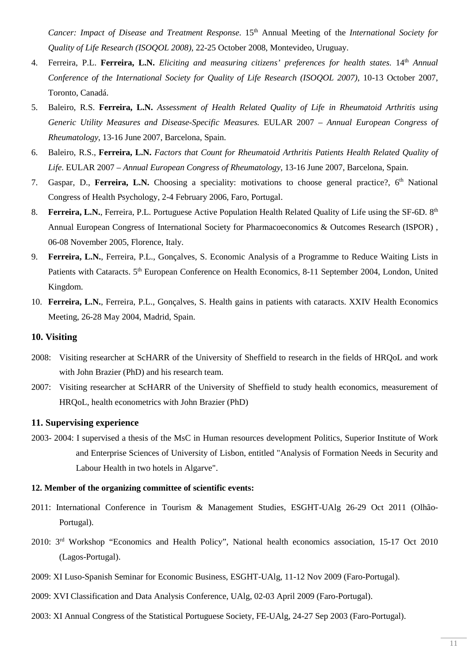*Cancer: Impact of Disease and Treatment Response.* 15<sup>th</sup> Annual Meeting of the *International Society for Quality of Life Research (ISOQOL 2008)*, 22-25 October 2008, Montevideo, Uruguay.

- 4. Ferreira, P.L. **Ferreira, L.N.** *Eliciting and measuring citizens' preferences for health states.* 14th *Annual Conference of the International Society for Quality of Life Research (ISOQOL 2007)*, 10-13 October 2007, Toronto, Canadá.
- 5. Baleiro, R.S. **Ferreira, L.N.** *Assessment of Health Related Quality of Life in Rheumatoid Arthritis using Generic Utility Measures and Disease-Specific Measures.* EULAR 2007 – *Annual European Congress of Rheumatology*, 13-16 June 2007, Barcelona, Spain.
- 6. Baleiro, R.S., **Ferreira, L.N.** *Factors that Count for Rheumatoid Arthritis Patients Health Related Quality of Life.* EULAR 2007 – *Annual European Congress of Rheumatology*, 13-16 June 2007, Barcelona, Spain.
- 7. Gaspar, D., **Ferreira, L.N.** Choosing a speciality: motivations to choose general practice?, 6<sup>th</sup> National Congress of Health Psychology, 2-4 February 2006, Faro, Portugal.
- 8. **Ferreira, L.N.**, Ferreira, P.L. Portuguese Active Population Health Related Quality of Life using the SF-6D. 8<sup>th</sup> Annual European Congress of International Society for Pharmacoeconomics & Outcomes Research (ISPOR) , 06-08 November 2005, Florence, Italy.
- 9. **Ferreira, L.N.**, Ferreira, P.L., Gonçalves, S. Economic Analysis of a Programme to Reduce Waiting Lists in Patients with Cataracts. 5<sup>th</sup> European Conference on Health Economics, 8-11 September 2004, London, United Kingdom.
- 10. **Ferreira, L.N.**, Ferreira, P.L., Gonçalves, S. Health gains in patients with cataracts. XXIV Health Economics Meeting, 26-28 May 2004, Madrid, Spain.

#### **10. Visiting**

- 2008: Visiting researcher at ScHARR of the University of Sheffield to research in the fields of HRQoL and work with John Brazier (PhD) and his research team.
- 2007: Visiting researcher at ScHARR of the University of Sheffield to study health economics, measurement of HRQoL, health econometrics with John Brazier (PhD)

#### **11. Supervising experience**

2003- 2004: I supervised a thesis of the MsC in Human resources development Politics, Superior Institute of Work and Enterprise Sciences of University of Lisbon, entitled "Analysis of Formation Needs in Security and Labour Health in two hotels in Algarve".

#### **12. Member of the organizing committee of scientific events:**

- 2011: International Conference in Tourism & Management Studies, ESGHT-UAlg 26-29 Oct 2011 (Olhão-Portugal).
- 2010: 3rd Workshop "Economics and Health Policy", National health economics association, 15-17 Oct 2010 (Lagos-Portugal).
- 2009: XI Luso-Spanish Seminar for Economic Business, ESGHT-UAlg, 11-12 Nov 2009 (Faro-Portugal).
- 2009: XVI Classification and Data Analysis Conference, UAlg, 02-03 April 2009 (Faro-Portugal).
- 2003: XI Annual Congress of the Statistical Portuguese Society, FE-UAlg, 24-27 Sep 2003 (Faro-Portugal).